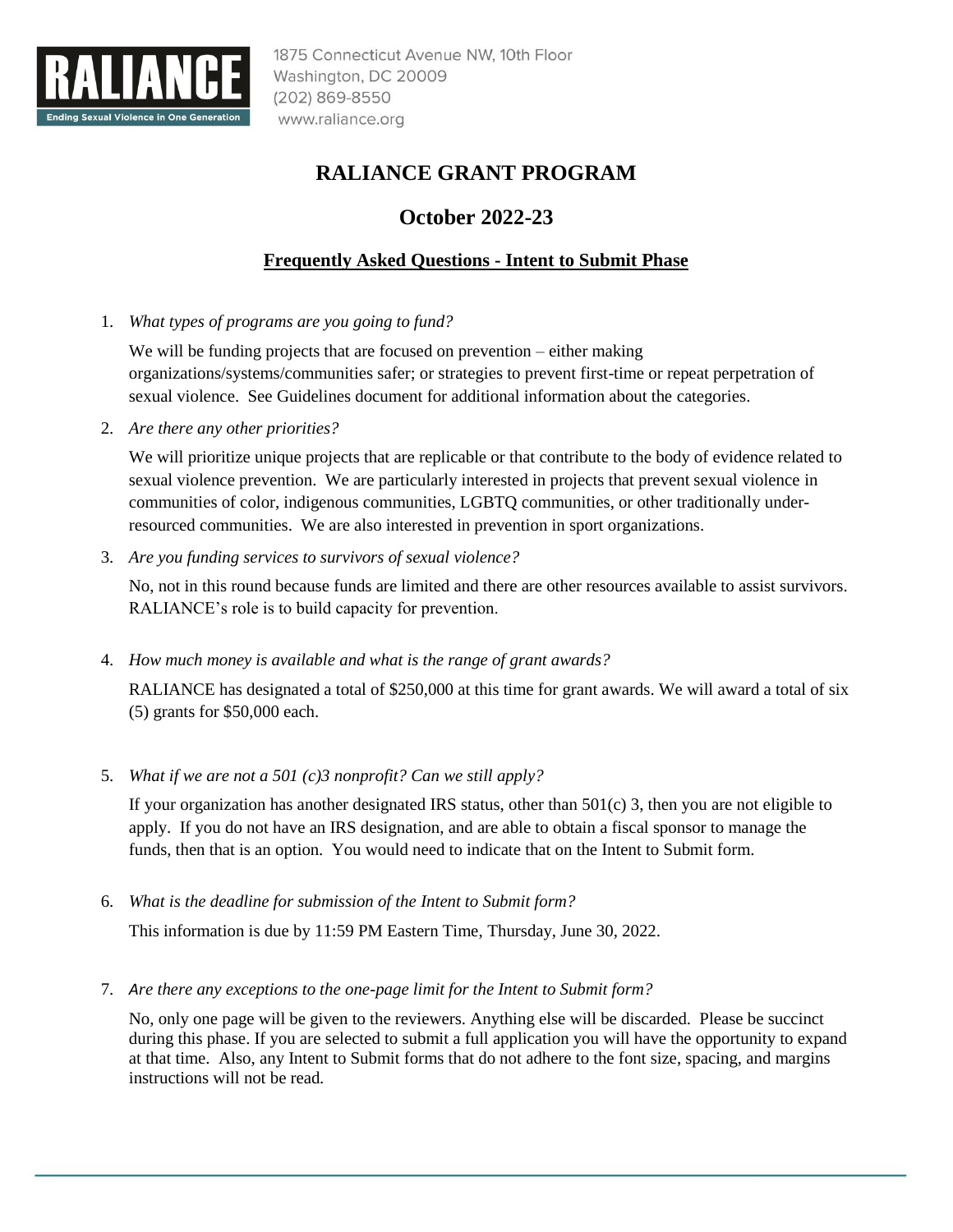

## **RALIANCE GRANT PROGRAM**

## **October 2022-23**

## **Frequently Asked Questions - Intent to Submit Phase**

1. *What types of programs are you going to fund?* 

We will be funding projects that are focused on prevention – either making organizations/systems/communities safer; or strategies to prevent first-time or repeat perpetration of sexual violence. See Guidelines document for additional information about the categories.

2. *Are there any other priorities?* 

We will prioritize unique projects that are replicable or that contribute to the body of evidence related to sexual violence prevention. We are particularly interested in projects that prevent sexual violence in communities of color, indigenous communities, LGBTQ communities, or other traditionally underresourced communities. We are also interested in prevention in sport organizations.

3. *Are you funding services to survivors of sexual violence?* 

No, not in this round because funds are limited and there are other resources available to assist survivors. RALIANCE's role is to build capacity for prevention.

4. *How much money is available and what is the range of grant awards?* 

RALIANCE has designated a total of \$250,000 at this time for grant awards. We will award a total of six (5) grants for \$50,000 each.

5. *What if we are not a 501 (c)3 nonprofit? Can we still apply?* 

If your organization has another designated IRS status, other than  $501(c)$  3, then you are not eligible to apply. If you do not have an IRS designation, and are able to obtain a fiscal sponsor to manage the funds, then that is an option. You would need to indicate that on the Intent to Submit form.

6. *What is the deadline for submission of the Intent to Submit form?*

This information is due by 11:59 PM Eastern Time, Thursday, June 30, 2022.

7. *Are there any exceptions to the one-page limit for the Intent to Submit form?* 

No, only one page will be given to the reviewers. Anything else will be discarded. Please be succinct during this phase. If you are selected to submit a full application you will have the opportunity to expand at that time. Also, any Intent to Submit forms that do not adhere to the font size, spacing, and margins instructions will not be read.